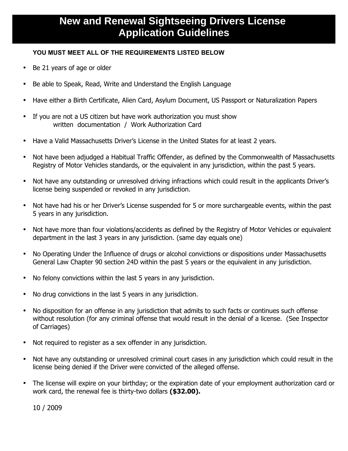## **New and Renewal Sightseeing Drivers License Application Guidelines**

## **YOU MUST MEET ALL OF THE REQUIREMENTS LISTED BELOW**

- Be 21 years of age or older
- Be able to Speak, Read, Write and Understand the English Language
- Have either a Birth Certificate, Alien Card, Asylum Document, US Passport or Naturalization Papers
- If you are not a US citizen but have work authorization you must show written documentation / Work Authorization Card
- Have a Valid Massachusetts Driver's License in the United States for at least 2 years.
- Not have been adjudged a Habitual Traffic Offender, as defined by the Commonwealth of Massachusetts Registry of Motor Vehicles standards, or the equivalent in any jurisdiction, within the past 5 years.
- Not have any outstanding or unresolved driving infractions which could result in the applicants Driver's license being suspended or revoked in any jurisdiction.
- Not have had his or her Driver's License suspended for 5 or more surchargeable events, within the past 5 years in any jurisdiction.
- Not have more than four violations/accidents as defined by the Registry of Motor Vehicles or equivalent department in the last 3 years in any jurisdiction. (same day equals one)
- No Operating Under the Influence of drugs or alcohol convictions or dispositions under Massachusetts General Law Chapter 90 section 24D within the past 5 years or the equivalent in any jurisdiction.
- No felony convictions within the last 5 years in any jurisdiction.
- No drug convictions in the last 5 years in any jurisdiction.
- No disposition for an offense in any jurisdiction that admits to such facts or continues such offense without resolution (for any criminal offense that would result in the denial of a license. (See Inspector of Carriages)
- Not required to register as a sex offender in any jurisdiction.
- Not have any outstanding or unresolved criminal court cases in any jurisdiction which could result in the license being denied if the Driver were convicted of the alleged offense.
- The license will expire on your birthday; or the expiration date of your employment authorization card or work card, the renewal fee is thirty-two dollars **(\$32.00).**

10 / 2009